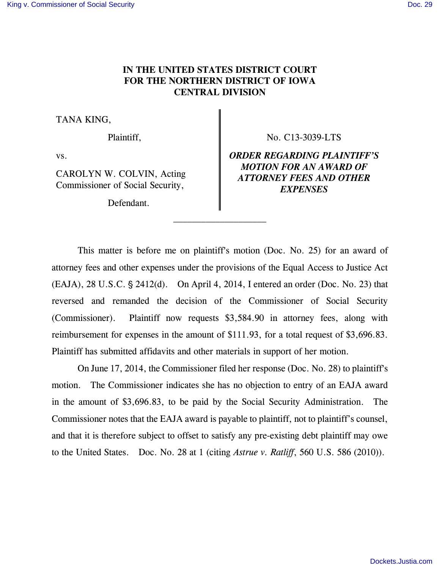# **IN THE UNITED STATES DISTRICT COURT FOR THE NORTHERN DISTRICT OF IOWA CENTRAL DIVISION**

TANA KING,

CAROLYN W. COLVIN, Acting Commissioner of Social Security,

Defendant.

 $\frac{1}{2}$  , and the contract of  $\frac{1}{2}$  , and  $\frac{1}{2}$  , and  $\frac{1}{2}$  , and  $\frac{1}{2}$ 

Plaintiff,  $\parallel$  No. C13-3039-LTS

vs. *ORDER REGARDING PLAINTIFF'S MOTION FOR AN AWARD OF ATTORNEY FEES AND OTHER EXPENSES* 

This matter is before me on plaintiff's motion (Doc. No. 25) for an award of attorney fees and other expenses under the provisions of the Equal Access to Justice Act  $(EAJA)$ , 28 U.S.C.  $\S$  2412(d). On April 4, 2014, I entered an order (Doc. No. 23) that reversed and remanded the decision of the Commissioner of Social Security (Commissioner). Plaintiff now requests \$3,584.90 in attorney fees, along with reimbursement for expenses in the amount of \$111.93, for a total request of \$3,696.83. Plaintiff has submitted affidavits and other materials in support of her motion.

On June 17, 2014, the Commissioner filed her response (Doc. No. 28) to plaintiff's motion. The Commissioner indicates she has no objection to entry of an EAJA award in the amount of \$3,696.83, to be paid by the Social Security Administration. The Commissioner notes that the EAJA award is payable to plaintiff, not to plaintiff's counsel, and that it is therefore subject to offset to satisfy any pre-existing debt plaintiff may owe to the United States. Doc. No. 28 at 1 (citing *Astrue v. Ratliff*, 560 U.S. 586 (2010)).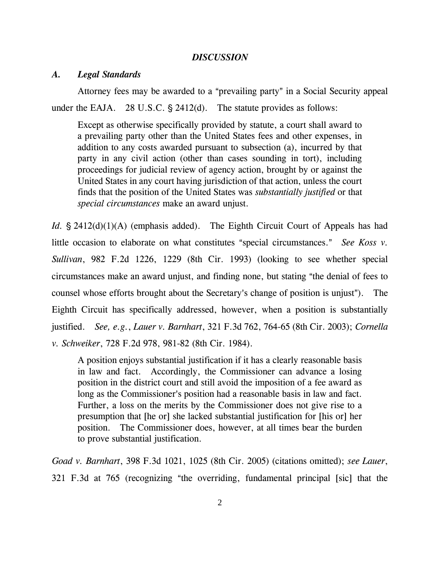### *DISCUSSION*

## *A. Legal Standards*

Attorney fees may be awarded to a "prevailing party" in a Social Security appeal under the EAJA. 28 U.S.C.  $\S$  2412(d). The statute provides as follows:

Except as otherwise specifically provided by statute, a court shall award to a prevailing party other than the United States fees and other expenses, in addition to any costs awarded pursuant to subsection (a), incurred by that party in any civil action (other than cases sounding in tort), including proceedings for judicial review of agency action, brought by or against the United States in any court having jurisdiction of that action, unless the court finds that the position of the United States was *substantially justified* or that *special circumstances* make an award unjust.

*Id.*  $\S 2412(d)(1)(A)$  (emphasis added). The Eighth Circuit Court of Appeals has had little occasion to elaborate on what constitutes "special circumstances." See Koss v. *Sullivan*, 982 F.2d 1226, 1229 (8th Cir. 1993) (looking to see whether special circumstances make an award unjust, and finding none, but stating "the denial of fees to counsel whose efforts brought about the Secretary's change of position is unjust"). The Eighth Circuit has specifically addressed, however, when a position is substantially justified. *See, e.g.*, *Lauer v. Barnhart*, 321 F.3d 762, 764-65 (8th Cir. 2003); *Cornella v. Schweiker*, 728 F.2d 978, 981-82 (8th Cir. 1984).

A position enjoys substantial justification if it has a clearly reasonable basis in law and fact. Accordingly, the Commissioner can advance a losing position in the district court and still avoid the imposition of a fee award as long as the Commissioner's position had a reasonable basis in law and fact. Further, a loss on the merits by the Commissioner does not give rise to a presumption that [he or] she lacked substantial justification for [his or] her position. The Commissioner does, however, at all times bear the burden to prove substantial justification.

*Goad v. Barnhart*, 398 F.3d 1021, 1025 (8th Cir. 2005) (citations omitted); *see Lauer*, 321 F.3d at 765 (recognizing "the overriding, fundamental principal [sic] that the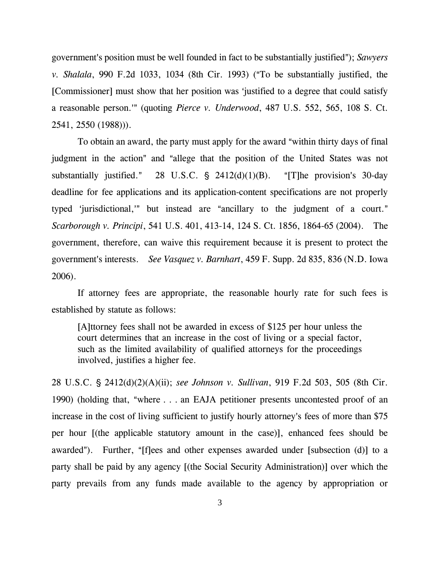government's position must be well founded in fact to be substantially justified"); *Sawyers v. Shalala*, 990 F.2d 1033, 1034 (8th Cir. 1993) ("To be substantially justified, the [Commissioner] must show that her position was 'justified to a degree that could satisfy a reasonable person." (quoting *Pierce v. Underwood*, 487 U.S. 552, 565, 108 S. Ct. 2541, 2550 (1988))).

To obtain an award, the party must apply for the award "within thirty days of final judgment in the action" and "allege that the position of the United States was not substantially justified." 28 U.S.C.  $\frac{1}{2}$  2412(d)(1)(B). "[T]he provision's 30-day deadline for fee applications and its application-content specifications are not properly typed 'jurisdictional,'" but instead are "ancillary to the judgment of a court." *Scarborough v. Principi*, 541 U.S. 401, 413-14, 124 S. Ct. 1856, 1864-65 (2004). The government, therefore, can waive this requirement because it is present to protect the government's interests. *See Vasquez v. Barnhart*, 459 F. Supp. 2d 835, 836 (N.D. Iowa 2006).

If attorney fees are appropriate, the reasonable hourly rate for such fees is established by statute as follows:

[A]ttorney fees shall not be awarded in excess of \$125 per hour unless the court determines that an increase in the cost of living or a special factor, such as the limited availability of qualified attorneys for the proceedings involved, justifies a higher fee.

28 U.S.C. § 2412(d)(2)(A)(ii); *see Johnson v. Sullivan*, 919 F.2d 503, 505 (8th Cir. 1990) (holding that, "where  $\ldots$  an EAJA petitioner presents uncontested proof of an increase in the cost of living sufficient to justify hourly attorney's fees of more than \$75 per hour [(the applicable statutory amount in the case)], enhanced fees should be awarded"). Further, "[f]ees and other expenses awarded under [subsection (d)] to a party shall be paid by any agency [(the Social Security Administration)] over which the party prevails from any funds made available to the agency by appropriation or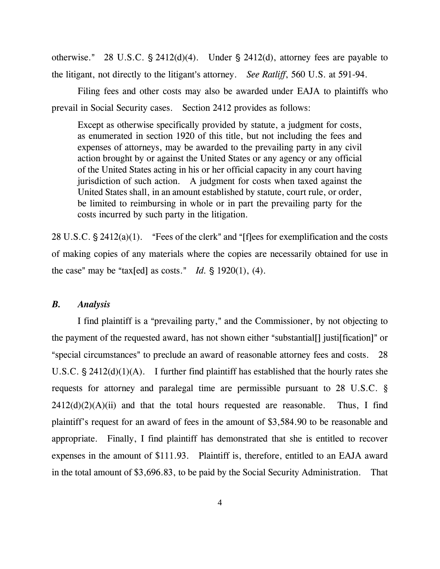otherwise." 28 U.S.C.  $\S$  2412(d)(4). Under  $\S$  2412(d), attorney fees are payable to the litigant, not directly to the litigant's attorney. *See Ratliff*, 560 U.S. at 591-94.

Filing fees and other costs may also be awarded under EAJA to plaintiffs who prevail in Social Security cases. Section 2412 provides as follows:

Except as otherwise specifically provided by statute, a judgment for costs, as enumerated in section 1920 of this title, but not including the fees and expenses of attorneys, may be awarded to the prevailing party in any civil action brought by or against the United States or any agency or any official of the United States acting in his or her official capacity in any court having jurisdiction of such action. A judgment for costs when taxed against the United States shall, in an amount established by statute, court rule, or order, be limited to reimbursing in whole or in part the prevailing party for the costs incurred by such party in the litigation.

28 U.S.C.  $\S 2412(a)(1)$ . "Fees of the clerk" and "[f]ees for exemplification and the costs of making copies of any materials where the copies are necessarily obtained for use in the case" may be "tax[ed] as costs." *Id.*  $\S$  1920(1), (4).

#### *B. Analysis*

I find plaintiff is a "prevailing party," and the Commissioner, by not objecting to the payment of the requested award, has not shown either "substantial<sup>[]</sup> justile fication]" or "special circumstances" to preclude an award of reasonable attorney fees and costs. 28 U.S.C.  $\frac{1}{2}$  2412(d)(1)(A). I further find plaintiff has established that the hourly rates she requests for attorney and paralegal time are permissible pursuant to 28 U.S.C. §  $2412(d)(2)(A)(ii)$  and that the total hours requested are reasonable. Thus, I find plaintiff's request for an award of fees in the amount of \$3,584.90 to be reasonable and appropriate. Finally, I find plaintiff has demonstrated that she is entitled to recover expenses in the amount of \$111.93. Plaintiff is, therefore, entitled to an EAJA award in the total amount of \$3,696.83, to be paid by the Social Security Administration. That